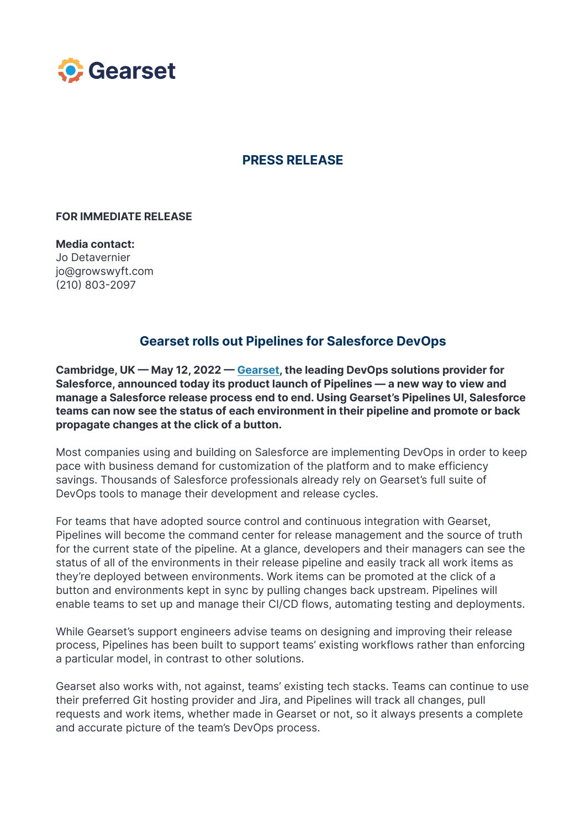

## **PRESS RELEASE**

## **FOR IMMEDIATE RELEASE**

**Media contact:** Jo Detavernier jo@growswyft.com (210) 803-2097

## **Gearset rolls out Pipelines for Salesforce DevOps**

**Cambridge, UK — May 12, 2022 — [Gearset,](https://gearset.com/) the leading DevOps solutions provider for Salesforce, announced today its product launch of Pipelines — a new way to view and manage a Salesforce release process end to end. Using Gearset's Pipelines UI, Salesforce teams can now see the status of each environment in their pipeline and promote or back propagate changes at the click of a button.**

Most companies using and building on Salesforce are implementing DevOps in order to keep pace with business demand for customization of the platform and to make efficiency savings. Thousands of Salesforce professionals already rely on Gearset's full suite of DevOps tools to manage their development and release cycles.

For teams that have adopted source control and continuous integration with Gearset, Pipelines will become the command center for release management and the source of truth for the current state of the pipeline. At a glance, developers and their managers can see the status of all of the environments in their release pipeline and easily track all work items as they're deployed between environments. Work items can be promoted at the click of a button and environments kept in sync by pulling changes back upstream. Pipelines will enable teams to set up and manage their CI/CD flows, automating testing and deployments.

While Gearset's support engineers advise teams on designing and improving their release process, Pipelines has been built to support teams' existing workflows rather than enforcing a particular model, in contrast to other solutions.

Gearset also works with, not against, teams' existing tech stacks. Teams can continue to use their preferred Git hosting provider and Jira, and Pipelines will track all changes, pull requests and work items, whether made in Gearset or not, so it always presents a complete and accurate picture of the team's DevOps process.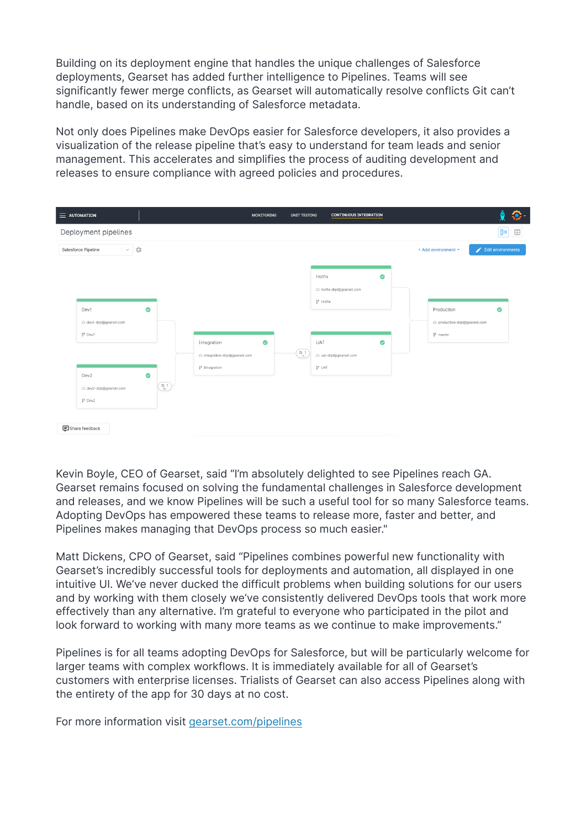Building on its deployment engine that handles the unique challenges of Salesforce deployments, Gearset has added further intelligence to Pipelines. Teams will see significantly fewer merge conflicts, as Gearset will automatically resolve conflicts Git can't handle, based on its understanding of Salesforce metadata.

Not only does Pipelines make DevOps easier for Salesforce developers, it also provides a visualization of the release pipeline that's easy to understand for team leads and senior management. This accelerates and simplifies the process of auditing development and releases to ensure compliance with agreed policies and procedures.

| $\equiv$ automation                                                                                                                               | <b>MONITORING</b>                                                                      | <b>UNIT TESTING</b>          | <b>CONTINUOUS INTEGRATION</b>                            |  |                                                            | ô<br>$\bullet$           |
|---------------------------------------------------------------------------------------------------------------------------------------------------|----------------------------------------------------------------------------------------|------------------------------|----------------------------------------------------------|--|------------------------------------------------------------|--------------------------|
| Deployment pipelines                                                                                                                              |                                                                                        |                              |                                                          |  |                                                            | $\boxed{30}$ $\boxed{5}$ |
| ÷<br>Salesforce Pipeline<br>$\searrow$                                                                                                            |                                                                                        |                              |                                                          |  | + Add environment *                                        | Edit environments        |
| $\bullet$<br>Dev1<br>△ dev1-drpl@gearset.com<br>$17$ Dev1                                                                                         |                                                                                        | $\overset{n-1}{\rightarrow}$ | ◙<br>Hotfix<br>△ hotfix-drpl@gearset.com<br>$2^9$ Hotfix |  | Production<br>O production-drpl@gearset.com<br>$1p$ master | ◙                        |
|                                                                                                                                                   | $\bullet$<br>Integration<br>o integration-drpl@gearset.com<br><sup>3</sup> Integration |                              | ◙<br>UAT<br>△ uat-drpl@gearset.com<br>$J^2$ UAT          |  |                                                            |                          |
| $\bullet$<br>Dev2<br>$\left(\begin{matrix} n & 1 \\ k & 1 \end{matrix}\right)$<br>△ dev2-drpl@gearset.com<br>$19$ Dev2<br><b>日</b> Share feedback |                                                                                        |                              |                                                          |  |                                                            |                          |

Kevin Boyle, CEO of Gearset, said "I'm absolutely delighted to see Pipelines reach GA. Gearset remains focused on solving the fundamental challenges in Salesforce development and releases, and we know Pipelines will be such a useful tool for so many Salesforce teams. Adopting DevOps has empowered these teams to release more, faster and better, and Pipelines makes managing that DevOps process so much easier."

Matt Dickens, CPO of Gearset, said "Pipelines combines powerful new functionality with Gearset's incredibly successful tools for deployments and automation, all displayed in one intuitive UI. We've never ducked the difficult problems when building solutions for our users and by working with them closely we've consistently delivered DevOps tools that work more effectively than any alternative. I'm grateful to everyone who participated in the pilot and look forward to working with many more teams as we continue to make improvements."

Pipelines is for all teams adopting DevOps for Salesforce, but will be particularly welcome for larger teams with complex workflows. It is immediately available for all of Gearset's customers with enterprise licenses. Trialists of Gearset can also access Pipelines along with the entirety of the app for 30 days at no cost.

For more information visit [gearset.com/pipelines](https://gearset.com/pipelines/)